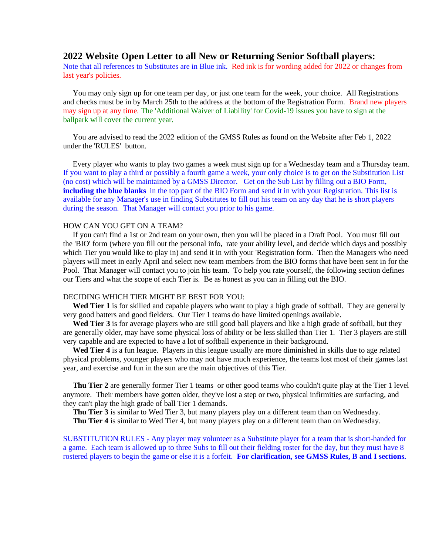## **2022 Website Open Letter to all New or Returning Senior Softball players:**

Note that all references to Substitutes are in Blue ink. Red ink is for wording added for 2022 or changes from last year's policies.

 You may only sign up for one team per day, or just one team for the week, your choice. All Registrations and checks must be in by March 25th to the address at the bottom of the Registration Form. Brand new players may sign up at any time. The 'Additional Waiver of Liability' for Covid-19 issues you have to sign at the ballpark will cover the current year.

 You are advised to read the 2022 edition of the GMSS Rules as found on the Website after Feb 1, 2022 under the 'RULES' button.

 Every player who wants to play two games a week must sign up for a Wednesday team and a Thursday team. If you want to play a third or possibly a fourth game a week, your only choice is to get on the Substitution List (no cost) which will be maintained by a GMSS Director. Get on the Sub List by filling out a BIO Form, **including the blue blanks** in the top part of the BIO Form and send it in with your Registration. This list is available for any Manager's use in finding Substitutes to fill out his team on any day that he is short players during the season. That Manager will contact you prior to his game.

## HOW CAN YOU GET ON A TEAM?

 If you can't find a 1st or 2nd team on your own, then you will be placed in a Draft Pool. You must fill out the 'BIO' form (where you fill out the personal info, rate your ability level, and decide which days and possibly which Tier you would like to play in) and send it in with your 'Registration form. Then the Managers who need players will meet in early April and select new team members from the BIO forms that have been sent in for the Pool. That Manager will contact you to join his team. To help you rate yourself, the following section defines our Tiers and what the scope of each Tier is. Be as honest as you can in filling out the BIO.

## DECIDING WHICH TIER MIGHT BE BEST FOR YOU:

Wed Tier 1 is for skilled and capable players who want to play a high grade of softball. They are generally very good batters and good fielders. Our Tier 1 teams do have limited openings available.

Wed Tier 3 is for average players who are still good ball players and like a high grade of softball, but they are generally older, may have some physical loss of ability or be less skilled than Tier 1. Tier 3 players are still very capable and are expected to have a lot of softball experience in their background.

Wed Tier 4 is a fun league. Players in this league usually are more diminished in skills due to age related physical problems, younger players who may not have much experience, the teams lost most of their games last year, and exercise and fun in the sun are the main objectives of this Tier.

**Thu Tier 2** are generally former Tier 1 teams or other good teams who couldn't quite play at the Tier 1 level anymore. Their members have gotten older, they've lost a step or two, physical infirmities are surfacing, and they can't play the high grade of ball Tier 1 demands.

**Thu Tier 3** is similar to Wed Tier 3, but many players play on a different team than on Wednesday.

 **Thu Tier 4** is similar to Wed Tier 4, but many players play on a different team than on Wednesday.

SUBSTITUTION RULES - Any player may volunteer as a Substitute player for a team that is short-handed for a game. Each team is allowed up to three Subs to fill out their fielding roster for the day, but they must have 8 rostered players to begin the game or else it is a forfeit. **For clarification, see GMSS Rules, B and I sections.**